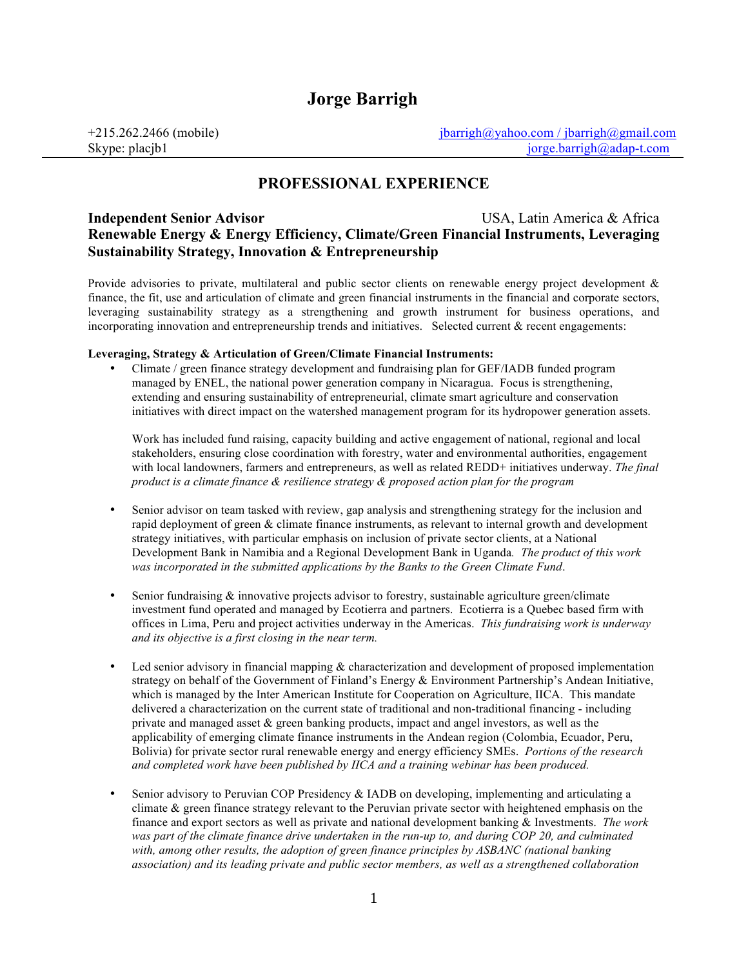# **Jorge Barrigh**

+215.262.2466 (mobile) jbarrigh@yahoo.com / jbarrigh@gmail.com Skype: placjb1 jorge.barrigh@adap-t.com

# **PROFESSIONAL EXPERIENCE**

### **Independent Senior Advisor** USA, Latin America & Africa **Renewable Energy & Energy Efficiency, Climate/Green Financial Instruments, Leveraging Sustainability Strategy, Innovation & Entrepreneurship**

Provide advisories to private, multilateral and public sector clients on renewable energy project development & finance, the fit, use and articulation of climate and green financial instruments in the financial and corporate sectors, leveraging sustainability strategy as a strengthening and growth instrument for business operations, and incorporating innovation and entrepreneurship trends and initiatives. Selected current  $\&$  recent engagements:

#### **Leveraging, Strategy & Articulation of Green/Climate Financial Instruments:**

• Climate / green finance strategy development and fundraising plan for GEF/IADB funded program managed by ENEL, the national power generation company in Nicaragua. Focus is strengthening, extending and ensuring sustainability of entrepreneurial, climate smart agriculture and conservation initiatives with direct impact on the watershed management program for its hydropower generation assets.

Work has included fund raising, capacity building and active engagement of national, regional and local stakeholders, ensuring close coordination with forestry, water and environmental authorities, engagement with local landowners, farmers and entrepreneurs, as well as related REDD+ initiatives underway. *The final product is a climate finance & resilience strategy & proposed action plan for the program* 

- Senior advisor on team tasked with review, gap analysis and strengthening strategy for the inclusion and rapid deployment of green & climate finance instruments, as relevant to internal growth and development strategy initiatives, with particular emphasis on inclusion of private sector clients, at a National Development Bank in Namibia and a Regional Development Bank in Uganda*. The product of this work was incorporated in the submitted applications by the Banks to the Green Climate Fund*.
- Senior fundraising  $\&$  innovative projects advisor to forestry, sustainable agriculture green/climate investment fund operated and managed by Ecotierra and partners. Ecotierra is a Quebec based firm with offices in Lima, Peru and project activities underway in the Americas. *This fundraising work is underway and its objective is a first closing in the near term.*
- Led senior advisory in financial mapping & characterization and development of proposed implementation strategy on behalf of the Government of Finland's Energy & Environment Partnership's Andean Initiative, which is managed by the Inter American Institute for Cooperation on Agriculture, IICA. This mandate delivered a characterization on the current state of traditional and non-traditional financing - including private and managed asset  $\&$  green banking products, impact and angel investors, as well as the applicability of emerging climate finance instruments in the Andean region (Colombia, Ecuador, Peru, Bolivia) for private sector rural renewable energy and energy efficiency SMEs. *Portions of the research and completed work have been published by IICA and a training webinar has been produced.*
- Senior advisory to Peruvian COP Presidency & IADB on developing, implementing and articulating a climate & green finance strategy relevant to the Peruvian private sector with heightened emphasis on the finance and export sectors as well as private and national development banking & Investments. *The work was part of the climate finance drive undertaken in the run-up to, and during COP 20, and culminated with, among other results, the adoption of green finance principles by ASBANC (national banking association) and its leading private and public sector members, as well as a strengthened collaboration*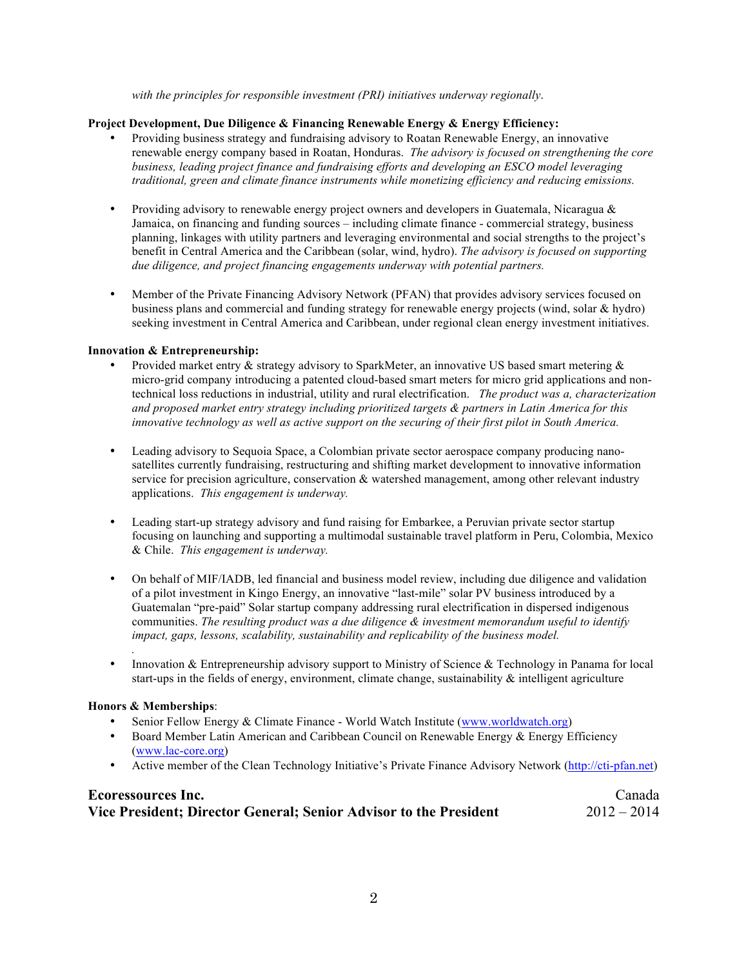*with the principles for responsible investment (PRI) initiatives underway regionally*.

#### **Project Development, Due Diligence & Financing Renewable Energy & Energy Efficiency:**

- Providing business strategy and fundraising advisory to Roatan Renewable Energy, an innovative renewable energy company based in Roatan, Honduras. *The advisory is focused on strengthening the core business, leading project finance and fundraising efforts and developing an ESCO model leveraging traditional, green and climate finance instruments while monetizing efficiency and reducing emissions.*
- Providing advisory to renewable energy project owners and developers in Guatemala, Nicaragua  $\&$ Jamaica, on financing and funding sources – including climate finance - commercial strategy, business planning, linkages with utility partners and leveraging environmental and social strengths to the project's benefit in Central America and the Caribbean (solar, wind, hydro). *The advisory is focused on supporting due diligence, and project financing engagements underway with potential partners.*
- Member of the Private Financing Advisory Network (PFAN) that provides advisory services focused on business plans and commercial and funding strategy for renewable energy projects (wind, solar & hydro) seeking investment in Central America and Caribbean, under regional clean energy investment initiatives.

### **Innovation & Entrepreneurship:**

- Provided market entry  $\&$  strategy advisory to SparkMeter, an innovative US based smart metering  $\&$ micro-grid company introducing a patented cloud-based smart meters for micro grid applications and nontechnical loss reductions in industrial, utility and rural electrification. *The product was a, characterization and proposed market entry strategy including prioritized targets & partners in Latin America for this innovative technology as well as active support on the securing of their first pilot in South America.*
- Leading advisory to Sequoia Space, a Colombian private sector aerospace company producing nanosatellites currently fundraising, restructuring and shifting market development to innovative information service for precision agriculture, conservation & watershed management, among other relevant industry applications. *This engagement is underway.*
- Leading start-up strategy advisory and fund raising for Embarkee, a Peruvian private sector startup focusing on launching and supporting a multimodal sustainable travel platform in Peru, Colombia, Mexico & Chile. *This engagement is underway.*
- On behalf of MIF/IADB, led financial and business model review, including due diligence and validation of a pilot investment in Kingo Energy, an innovative "last-mile" solar PV business introduced by a Guatemalan "pre-paid" Solar startup company addressing rural electrification in dispersed indigenous communities. *The resulting product was a due diligence & investment memorandum useful to identify impact, gaps, lessons, scalability, sustainability and replicability of the business model.*
- *.* • Innovation & Entrepreneurship advisory support to Ministry of Science & Technology in Panama for local start-ups in the fields of energy, environment, climate change, sustainability & intelligent agriculture

#### **Honors & Memberships**:

- Senior Fellow Energy & Climate Finance World Watch Institute (www.worldwatch.org)
- Board Member Latin American and Caribbean Council on Renewable Energy & Energy Efficiency (www.lac-core.org)
- Active member of the Clean Technology Initiative's Private Finance Advisory Network (http://cti-pfan.net)

| <b>Ecoressources Inc.</b>                                         | Canada        |
|-------------------------------------------------------------------|---------------|
| Vice President; Director General; Senior Advisor to the President | $2012 - 2014$ |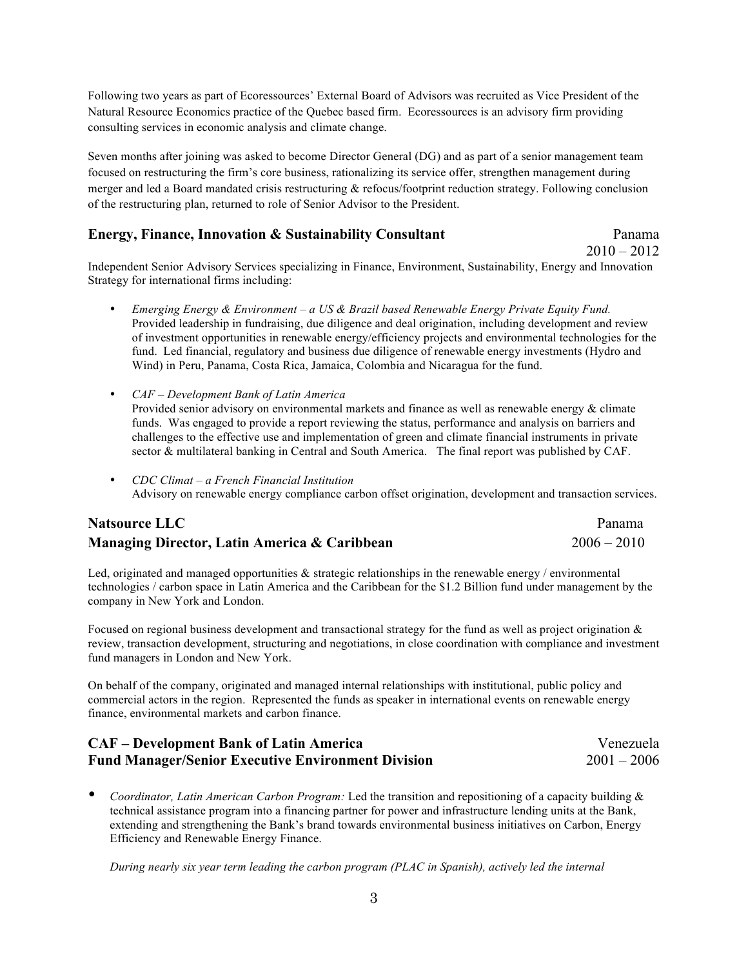Following two years as part of Ecoressources' External Board of Advisors was recruited as Vice President of the Natural Resource Economics practice of the Quebec based firm. Ecoressources is an advisory firm providing consulting services in economic analysis and climate change.

Seven months after joining was asked to become Director General (DG) and as part of a senior management team focused on restructuring the firm's core business, rationalizing its service offer, strengthen management during merger and led a Board mandated crisis restructuring & refocus/footprint reduction strategy. Following conclusion of the restructuring plan, returned to role of Senior Advisor to the President.

### **Energy, Finance, Innovation & Sustainability Consultant** Panama

 $2010 - 2012$ 

Independent Senior Advisory Services specializing in Finance, Environment, Sustainability, Energy and Innovation Strategy for international firms including:

- *Emerging Energy & Environment – a US & Brazil based Renewable Energy Private Equity Fund.* Provided leadership in fundraising, due diligence and deal origination, including development and review of investment opportunities in renewable energy/efficiency projects and environmental technologies for the fund. Led financial, regulatory and business due diligence of renewable energy investments (Hydro and Wind) in Peru, Panama, Costa Rica, Jamaica, Colombia and Nicaragua for the fund.
- *CAF – Development Bank of Latin America* Provided senior advisory on environmental markets and finance as well as renewable energy & climate funds. Was engaged to provide a report reviewing the status, performance and analysis on barriers and challenges to the effective use and implementation of green and climate financial instruments in private sector & multilateral banking in Central and South America. The final report was published by CAF.
- *CDC Climat – a French Financial Institution* Advisory on renewable energy compliance carbon offset origination, development and transaction services.

# **Natsource LLC** Panama **Managing Director, Latin America & Caribbean** 2006 – 2010

Led, originated and managed opportunities  $\&$  strategic relationships in the renewable energy / environmental technologies / carbon space in Latin America and the Caribbean for the \$1.2 Billion fund under management by the company in New York and London.

Focused on regional business development and transactional strategy for the fund as well as project origination & review, transaction development, structuring and negotiations, in close coordination with compliance and investment fund managers in London and New York.

On behalf of the company, originated and managed internal relationships with institutional, public policy and commercial actors in the region. Represented the funds as speaker in international events on renewable energy finance, environmental markets and carbon finance.

| <b>CAF</b> – Development Bank of Latin America            | Venezuela     |
|-----------------------------------------------------------|---------------|
| <b>Fund Manager/Senior Executive Environment Division</b> | $2001 - 2006$ |

• *Coordinator, Latin American Carbon Program:* Led the transition and repositioning of a capacity building & technical assistance program into a financing partner for power and infrastructure lending units at the Bank, extending and strengthening the Bank's brand towards environmental business initiatives on Carbon, Energy Efficiency and Renewable Energy Finance.

*During nearly six year term leading the carbon program (PLAC in Spanish), actively led the internal*